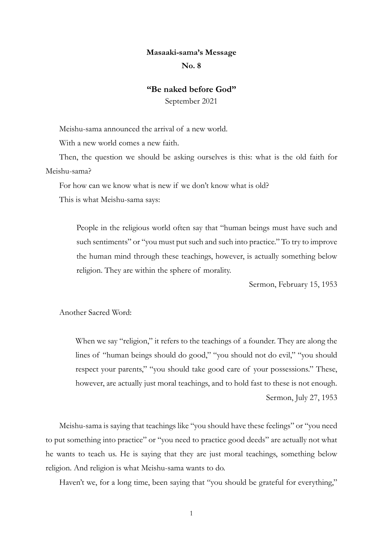## **Masaaki-sama's Message**

## **No. 8**

## **"Be naked before God"**

September 2021

Meishu-sama announced the arrival of a new world.

With a new world comes a new faith.

Then, the question we should be asking ourselves is this: what is the old faith for Meishu-sama?

For how can we know what is new if we don't know what is old?

This is what Meishu-sama says:

People in the religious world often say that "human beings must have such and such sentiments" or "you must put such and such into practice." To try to improve the human mind through these teachings, however, is actually something below religion. They are within the sphere of morality.

Sermon, February 15, 1953

Another Sacred Word:

When we say "religion," it refers to the teachings of a founder. They are along the lines of "human beings should do good," "you should not do evil," "you should respect your parents," "you should take good care of your possessions." These, however, are actually just moral teachings, and to hold fast to these is not enough. Sermon, July 27, 1953

Meishu-sama is saying that teachings like "you should have these feelings" or "you need to put something into practice" or "you need to practice good deeds" are actually not what he wants to teach us. He is saying that they are just moral teachings, something below religion. And religion is what Meishu-sama wants to do.

Haven't we, for a long time, been saying that "you should be grateful for everything,"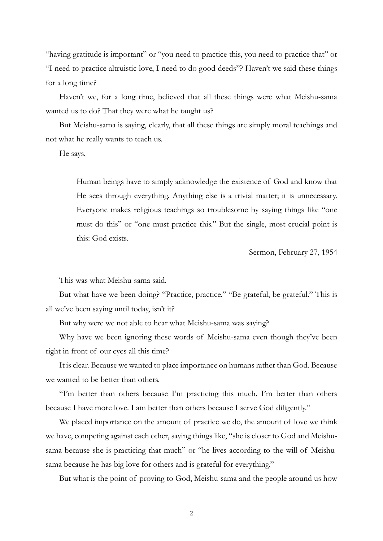"having gratitude is important" or "you need to practice this, you need to practice that" or "I need to practice altruistic love, I need to do good deeds"? Haven't we said these things for a long time?

Haven't we, for a long time, believed that all these things were what Meishu-sama wanted us to do? That they were what he taught us?

But Meishu-sama is saying, clearly, that all these things are simply moral teachings and not what he really wants to teach us.

He says,

Human beings have to simply acknowledge the existence of God and know that He sees through everything. Anything else is a trivial matter; it is unnecessary. Everyone makes religious teachings so troublesome by saying things like "one must do this" or "one must practice this." But the single, most crucial point is this: God exists.

Sermon, February 27, 1954

This was what Meishu-sama said.

But what have we been doing? "Practice, practice." "Be grateful, be grateful." This is all we've been saying until today, isn't it?

But why were we not able to hear what Meishu-sama was saying?

Why have we been ignoring these words of Meishu-sama even though they've been right in front of our eyes all this time?

It is clear. Because we wanted to place importance on humans rather than God. Because we wanted to be better than others.

"I'm better than others because I'm practicing this much. I'm better than others because I have more love. I am better than others because I serve God diligently."

We placed importance on the amount of practice we do, the amount of love we think we have, competing against each other, saying things like, "she is closer to God and Meishusama because she is practicing that much" or "he lives according to the will of Meishusama because he has big love for others and is grateful for everything."

But what is the point of proving to God, Meishu-sama and the people around us how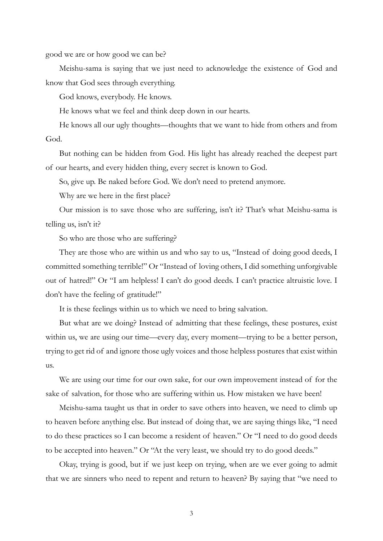good we are or how good we can be?

Meishu-sama is saying that we just need to acknowledge the existence of God and know that God sees through everything.

God knows, everybody. He knows.

He knows what we feel and think deep down in our hearts.

He knows all our ugly thoughts—thoughts that we want to hide from others and from God.

But nothing can be hidden from God. His light has already reached the deepest part of our hearts, and every hidden thing, every secret is known to God.

So, give up. Be naked before God. We don't need to pretend anymore.

Why are we here in the first place?

Our mission is to save those who are suffering, isn't it? That's what Meishu-sama is telling us, isn't it?

So who are those who are suffering?

They are those who are within us and who say to us, "Instead of doing good deeds, I committed something terrible!" Or "Instead of loving others, I did something unforgivable out of hatred!" Or "I am helpless! I can't do good deeds. I can't practice altruistic love. I don't have the feeling of gratitude!"

It is these feelings within us to which we need to bring salvation.

But what are we doing? Instead of admitting that these feelings, these postures, exist within us, we are using our time—every day, every moment—trying to be a better person, trying to get rid of and ignore those ugly voices and those helpless postures that exist within us.

We are using our time for our own sake, for our own improvement instead of for the sake of salvation, for those who are suffering within us. How mistaken we have been!

Meishu-sama taught us that in order to save others into heaven, we need to climb up to heaven before anything else. But instead of doing that, we are saying things like, "I need to do these practices so I can become a resident of heaven." Or "I need to do good deeds to be accepted into heaven." Or "At the very least, we should try to do good deeds."

Okay, trying is good, but if we just keep on trying, when are we ever going to admit that we are sinners who need to repent and return to heaven? By saying that "we need to

3